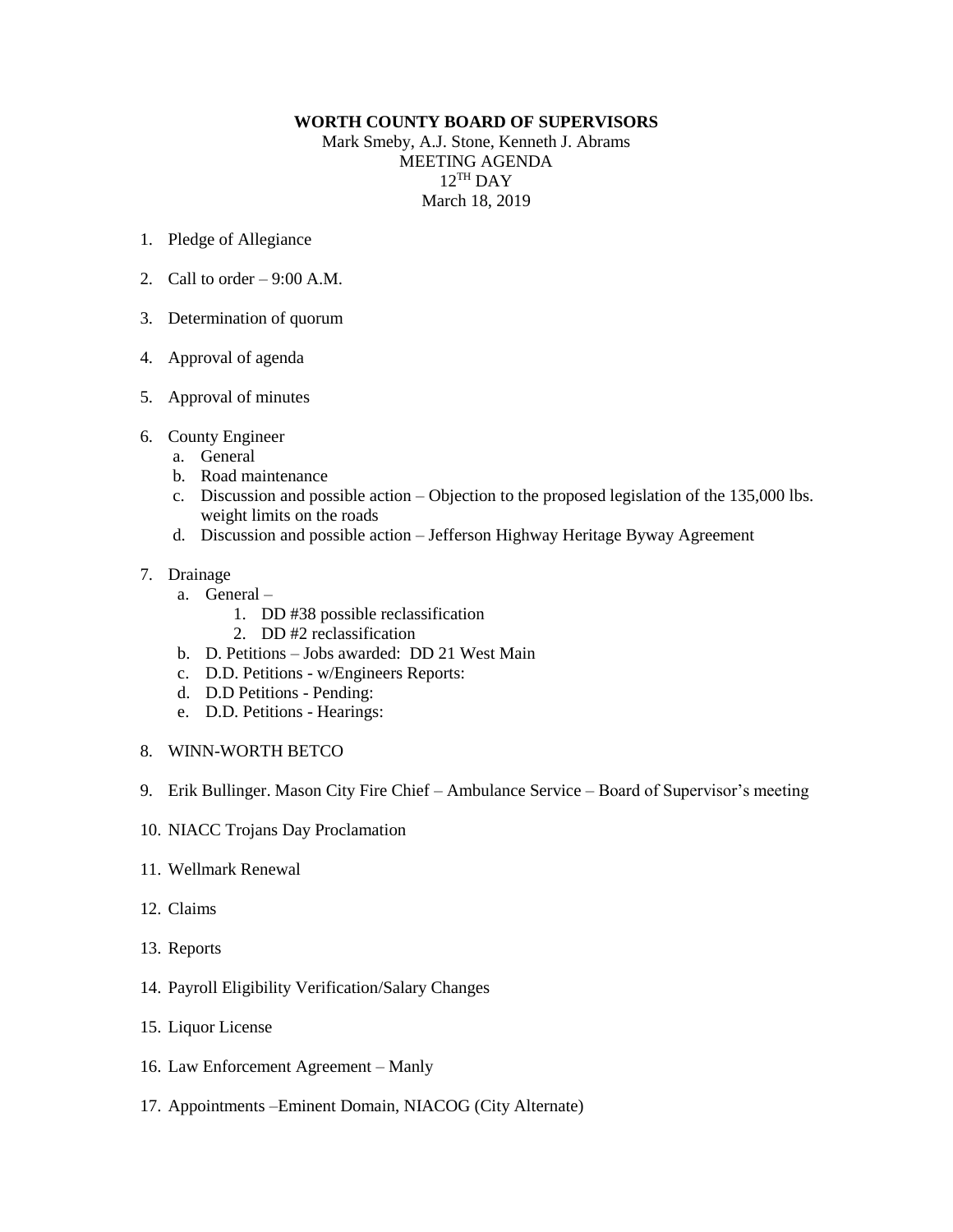## **WORTH COUNTY BOARD OF SUPERVISORS**

Mark Smeby, A.J. Stone, Kenneth J. Abrams MEETING AGENDA 12 TH DAY March 18, 2019

- 1. Pledge of Allegiance
- 2. Call to order  $-9:00$  A.M.
- 3. Determination of quorum
- 4. Approval of agenda
- 5. Approval of minutes
- 6. County Engineer
	- a. General
	- b. Road maintenance
	- c. Discussion and possible action Objection to the proposed legislation of the 135,000 lbs. weight limits on the roads
	- d. Discussion and possible action Jefferson Highway Heritage Byway Agreement
- 7. Drainage
	- a. General
		- 1. DD #38 possible reclassification
		- 2. DD #2 reclassification
	- b. D. Petitions Jobs awarded: DD 21 West Main
	- c. D.D. Petitions w/Engineers Reports:
	- d. D.D Petitions Pending:
	- e. D.D. Petitions Hearings:
- 8. WINN-WORTH BETCO
- 9. Erik Bullinger. Mason City Fire Chief Ambulance Service Board of Supervisor's meeting
- 10. NIACC Trojans Day Proclamation
- 11. Wellmark Renewal
- 12. Claims
- 13. Reports
- 14. Payroll Eligibility Verification/Salary Changes
- 15. Liquor License
- 16. Law Enforcement Agreement Manly
- 17. Appointments –Eminent Domain, NIACOG (City Alternate)